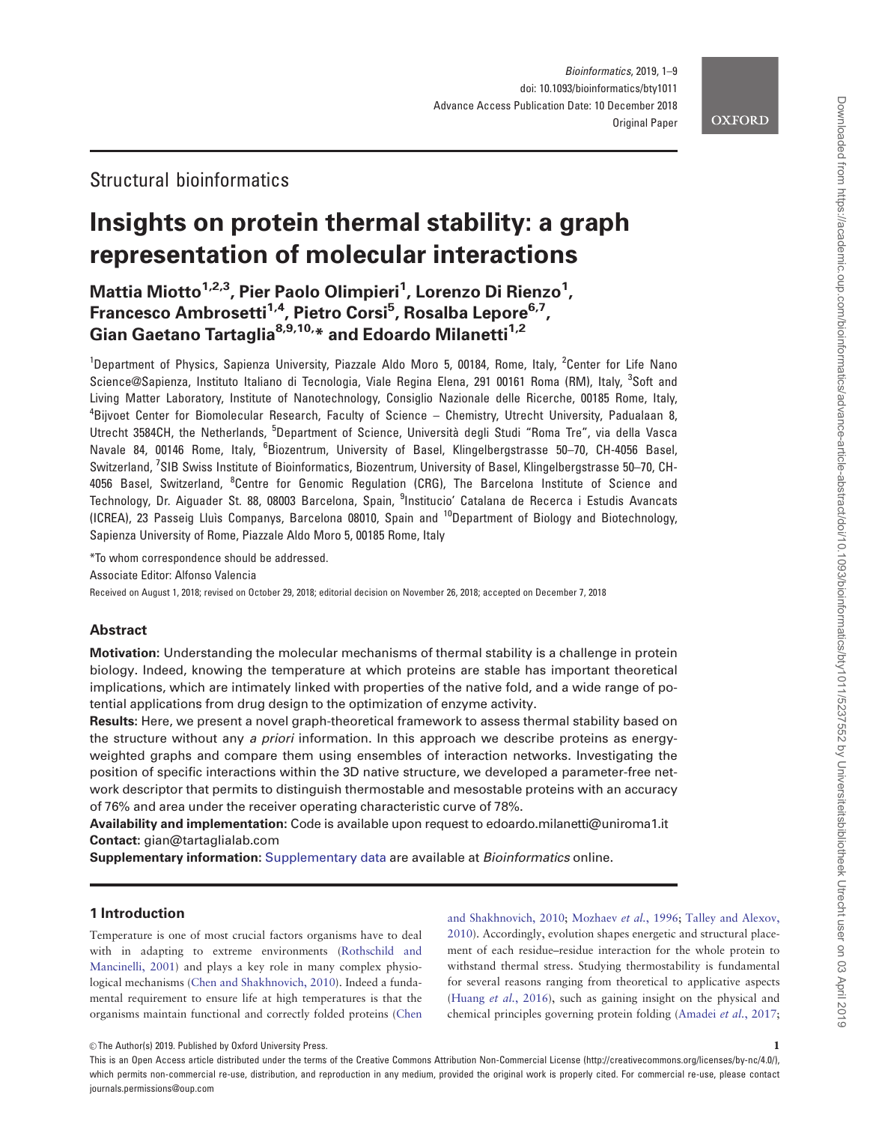# Structural bioinformatics

# Insights on protein thermal stability: a graph representation of molecular interactions

Mattia Miotto<sup>1,2,3</sup>, Pier Paolo Olimpieri<sup>1</sup>, Lorenzo Di Rienzo<sup>1</sup>, Francesco Ambrosetti<sup>1,4</sup>, Pietro Corsi<sup>5</sup>, Rosalba Lepore<sup>6,7</sup>, Gian Gaetano Tartaglia<sup>8,9,10,\*</sup> and Edoardo Milanetti<sup>1,2</sup>

<sup>1</sup>Department of Physics, Sapienza University, Piazzale Aldo Moro 5, 00184, Rome, Italy, <sup>2</sup>Center for Life Nano Science@Sapienza, Instituto Italiano di Tecnologia, Viale Regina Elena, 291 00161 Roma (RM), Italy, <sup>3</sup>Soft and Living Matter Laboratory, Institute of Nanotechnology, Consiglio Nazionale delle Ricerche, 00185 Rome, Italy, 4 Bijvoet Center for Biomolecular Research, Faculty of Science – Chemistry, Utrecht University, Padualaan 8, Utrecht 3584CH, the Netherlands, <sup>5</sup>Department of Science, Università degli Studi "Roma Tre", via della Vasca Navale 84, 00146 Rome, Italy, <sup>6</sup>Biozentrum, University of Basel, Klingelbergstrasse 50–70, CH-4056 Basel, Switzerland, <sup>7</sup>SIB Swiss Institute of Bioinformatics, Biozentrum, University of Basel, Klingelbergstrasse 50–70, CH-4056 Basel, Switzerland, <sup>8</sup>Centre for Genomic Regulation (CRG), The Barcelona Institute of Science and Technology, Dr. Aiguader St. 88, 08003 Barcelona, Spain, <sup>9</sup>Institucio' Catalana de Recerca i Estudis Avancats (ICREA), 23 Passeig Lluis Companys, Barcelona 08010, Spain and <sup>10</sup>Department of Biology and Biotechnology, Sapienza University of Rome, Piazzale Aldo Moro 5, 00185 Rome, Italy

\*To whom correspondence should be addressed. Associate Editor: Alfonso Valencia

Received on August 1, 2018; revised on October 29, 2018; editorial decision on November 26, 2018; accepted on December 7, 2018

# Abstract

Motivation: Understanding the molecular mechanisms of thermal stability is a challenge in protein biology. Indeed, knowing the temperature at which proteins are stable has important theoretical implications, which are intimately linked with properties of the native fold, and a wide range of potential applications from drug design to the optimization of enzyme activity.

Results: Here, we present a novel graph-theoretical framework to assess thermal stability based on the structure without any a priori information. In this approach we describe proteins as energyweighted graphs and compare them using ensembles of interaction networks. Investigating the position of specific interactions within the 3D native structure, we developed a parameter-free network descriptor that permits to distinguish thermostable and mesostable proteins with an accuracy of 76% and area under the receiver operating characteristic curve of 78%.

Availability and implementation: Code is available upon request to edoardo.milanetti@uniroma1.it Contact: gian@tartaglialab.com

**Supplementary information:** [Supplementary data](https://academic.oup.com/bioinformatics/article-lookup/doi/10.1093/bioinformatics/bty1011#supplementary-data) are available at *Bioinformatics* online.

# 1 Introduction

Temperature is one of most crucial factors organisms have to deal with in adapting to extreme environments [\(Rothschild and](#page-7-0) [Mancinelli, 2001](#page-7-0)) and plays a key role in many complex physiological mechanisms ([Chen and Shakhnovich, 2010](#page-7-0)). Indeed a fundamental requirement to ensure life at high temperatures is that the organisms maintain functional and correctly folded proteins [\(Chen](#page-7-0) [and Shakhnovich, 2010;](#page-7-0) [Mozhaev](#page-7-0) et al., 1996; [Talley and Alexov,](#page-8-0) [2010\)](#page-8-0). Accordingly, evolution shapes energetic and structural placement of each residue–residue interaction for the whole protein to withstand thermal stress. Studying thermostability is fundamental for several reasons ranging from theoretical to applicative aspects ([Huang](#page-7-0) et al., 2016), such as gaining insight on the physical and chemical principles governing protein folding ([Amadei](#page-7-0) et al., 2017;

This is an Open Access article distributed under the terms of the Creative Commons Attribution Non-Commercial License (http://creativecommons.org/licenses/by-nc/4.0/), which permits non-commercial re-use, distribution, and reproduction in any medium, provided the original work is properly cited. For commercial re-use, please contact journals.permissions@oup.com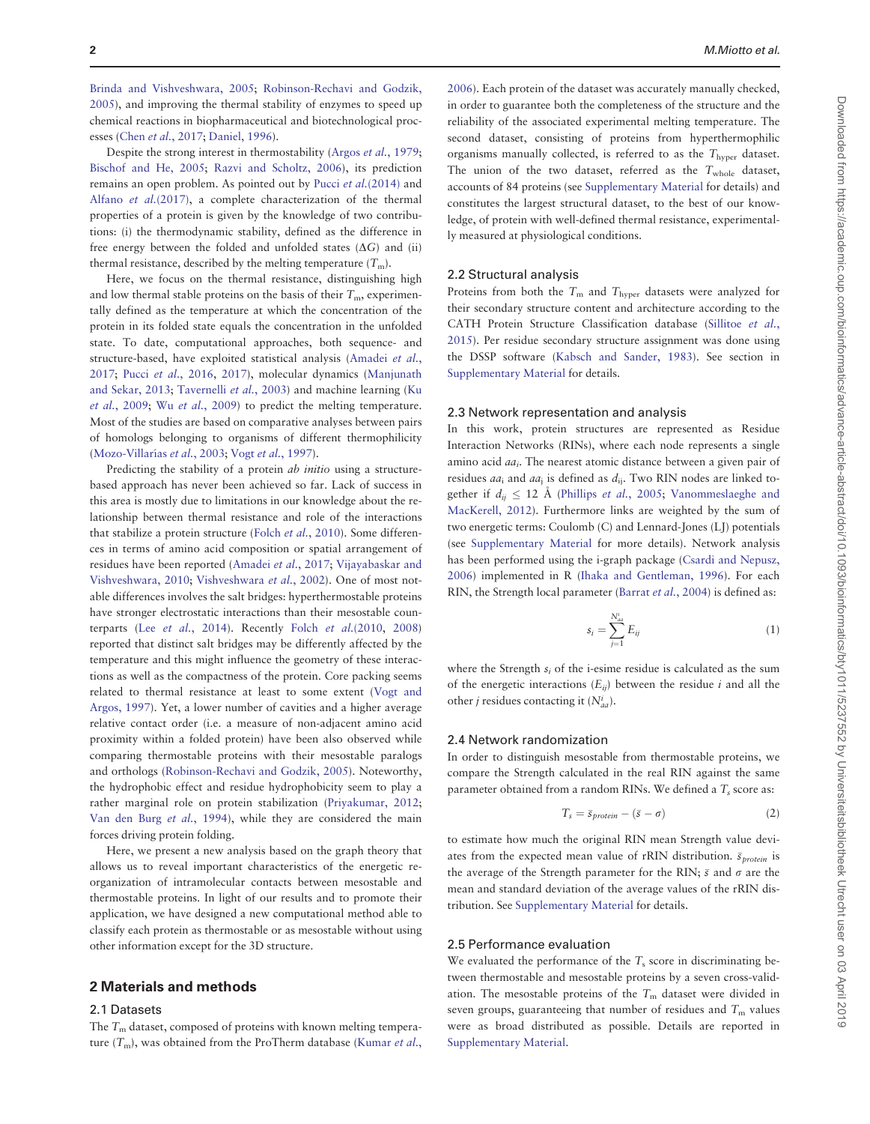<span id="page-1-0"></span>[Brinda and Vishveshwara, 2005;](#page-7-0) [Robinson-Rechavi and Godzik,](#page-7-0) [2005\)](#page-7-0), and improving the thermal stability of enzymes to speed up chemical reactions in biopharmaceutical and biotechnological processes (Chen et al.[, 2017;](#page-7-0) [Daniel, 1996\)](#page-7-0).

Despite the strong interest in thermostability (Argos et al.[, 1979;](#page-7-0) [Bischof and He, 2005](#page-7-0); [Razvi and Scholtz, 2006\)](#page-7-0), its prediction remains an open problem. As pointed out by Pucci et al.[\(2014\)](#page-7-0) and [Alfano](#page-7-0) et al.(2017), a complete characterization of the thermal properties of a protein is given by the knowledge of two contributions: (i) the thermodynamic stability, defined as the difference in free energy between the folded and unfolded states  $(\Delta G)$  and (ii) thermal resistance, described by the melting temperature  $(T_m)$ .

Here, we focus on the thermal resistance, distinguishing high and low thermal stable proteins on the basis of their  $T<sub>m</sub>$ , experimentally defined as the temperature at which the concentration of the protein in its folded state equals the concentration in the unfolded state. To date, computational approaches, both sequence- and structure-based, have exploited statistical analysis [\(Amadei](#page-7-0) et al., [2017;](#page-7-0) Pucci et al.[, 2016](#page-7-0), [2017\)](#page-7-0), molecular dynamics ([Manjunath](#page-7-0) [and Sekar, 2013](#page-7-0); [Tavernelli](#page-8-0) et al., 2003) and machine learning ([Ku](#page-7-0) et al.[, 2009](#page-7-0); Wu et al.[, 2009\)](#page-8-0) to predict the melting temperature. Most of the studies are based on comparative analyses between pairs of homologs belonging to organisms of different thermophilicity (Mozo-Villarías et al., 2003; Vogt et al.[, 1997\)](#page-8-0).

Predicting the stability of a protein *ab initio* using a structurebased approach has never been achieved so far. Lack of success in this area is mostly due to limitations in our knowledge about the relationship between thermal resistance and role of the interactions that stabilize a protein structure (Folch et al.[, 2010\)](#page-7-0). Some differences in terms of amino acid composition or spatial arrangement of residues have been reported ([Amadei](#page-7-0) et al., 2017; [Vijayabaskar and](#page-8-0) [Vishveshwara, 2010](#page-8-0); [Vishveshwara](#page-8-0) et al., 2002). One of most notable differences involves the salt bridges: hyperthermostable proteins have stronger electrostatic interactions than their mesostable coun-terparts (Lee et al.[, 2014\)](#page-7-0). Recently Folch [et al.](#page-7-0)(2010, [2008](#page-7-0)) reported that distinct salt bridges may be differently affected by the temperature and this might influence the geometry of these interactions as well as the compactness of the protein. Core packing seems related to thermal resistance at least to some extent [\(Vogt and](#page-8-0) [Argos, 1997\)](#page-8-0). Yet, a lower number of cavities and a higher average relative contact order (i.e. a measure of non-adjacent amino acid proximity within a folded protein) have been also observed while comparing thermostable proteins with their mesostable paralogs and orthologs [\(Robinson-Rechavi and Godzik, 2005](#page-7-0)). Noteworthy, the hydrophobic effect and residue hydrophobicity seem to play a rather marginal role on protein stabilization ([Priyakumar, 2012;](#page-7-0) [Van den Burg](#page-8-0) et al., 1994), while they are considered the main forces driving protein folding.

Here, we present a new analysis based on the graph theory that allows us to reveal important characteristics of the energetic reorganization of intramolecular contacts between mesostable and thermostable proteins. In light of our results and to promote their application, we have designed a new computational method able to classify each protein as thermostable or as mesostable without using other information except for the 3D structure.

# 2 Materials and methods

#### 2.1 Datasets

The  $T<sub>m</sub>$  dataset, composed of proteins with known melting temperature  $(T_m)$ , was obtained from the ProTherm database ([Kumar](#page-7-0) et al.,

[2006\)](#page-7-0). Each protein of the dataset was accurately manually checked, in order to guarantee both the completeness of the structure and the reliability of the associated experimental melting temperature. The second dataset, consisting of proteins from hyperthermophilic organisms manually collected, is referred to as the  $T_{\text{hyper}}$  dataset. The union of the two dataset, referred as the  $T_{\text{whole}}$  dataset, accounts of 84 proteins (see [Supplementary Material](https://academic.oup.com/bioinformatics/article-lookup/doi/10.1093/bioinformatics/bty1011#supplementary-data) for details) and constitutes the largest structural dataset, to the best of our knowledge, of protein with well-defined thermal resistance, experimentally measured at physiological conditions.

#### 2.2 Structural analysis

Proteins from both the  $T_m$  and  $T_{\text{hyper}}$  datasets were analyzed for their secondary structure content and architecture according to the CATH Protein Structure Classification database ([Sillitoe](#page-8-0) et al., [2015\)](#page-8-0). Per residue secondary structure assignment was done using the DSSP software ([Kabsch and Sander, 1983\)](#page-7-0). See section in [Supplementary Material](https://academic.oup.com/bioinformatics/article-lookup/doi/10.1093/bioinformatics/bty1011#supplementary-data) for details.

#### 2.3 Network representation and analysis

In this work, protein structures are represented as Residue Interaction Networks (RINs), where each node represents a single amino acid  $aa_i$ . The nearest atomic distance between a given pair of residues  $aa_i$  and  $aa_j$  is defined as  $d_{ij}$ . Two RIN nodes are linked together if  $d_{ij} \leq 12$  Å [\(Phillips](#page-7-0) *et al.*, 2005; [Vanommeslaeghe and](#page-8-0) [MacKerell, 2012\)](#page-8-0). Furthermore links are weighted by the sum of two energetic terms: Coulomb (C) and Lennard-Jones (LJ) potentials (see [Supplementary Material](https://academic.oup.com/bioinformatics/article-lookup/doi/10.1093/bioinformatics/bty1011#supplementary-data) for more details). Network analysis has been performed using the i-graph package ([Csardi and Nepusz,](#page-7-0) [2006\)](#page-7-0) implemented in R [\(Ihaka and Gentleman, 1996\)](#page-7-0). For each RIN, the Strength local parameter (Barrat et al.[, 2004](#page-7-0)) is defined as:

$$
s_i = \sum_{j=1}^{N_{as}^i} E_{ij} \tag{1}
$$

where the Strength  $s_i$  of the i-esime residue is calculated as the sum of the energetic interactions  $(E_{ii})$  between the residue i and all the other *j* residues contacting it  $(N_{aa}^i)$ .

#### 2.4 Network randomization

In order to distinguish mesostable from thermostable proteins, we compare the Strength calculated in the real RIN against the same parameter obtained from a random RINs. We defined a  $T_s$  score as:

$$
T_s = \bar{s}_{protein} - (\bar{s} - \sigma) \tag{2}
$$

to estimate how much the original RIN mean Strength value deviates from the expected mean value of rRIN distribution.  $\bar{s}_{protein}$  is the average of the Strength parameter for the RIN;  $\bar{s}$  and  $\sigma$  are the mean and standard deviation of the average values of the rRIN distribution. See [Supplementary Material](https://academic.oup.com/bioinformatics/article-lookup/doi/10.1093/bioinformatics/bty1011#supplementary-data) for details.

# 2.5 Performance evaluation

We evaluated the performance of the  $T_s$  score in discriminating between thermostable and mesostable proteins by a seven cross-validation. The mesostable proteins of the  $T<sub>m</sub>$  dataset were divided in seven groups, guaranteeing that number of residues and  $T<sub>m</sub>$  values were as broad distributed as possible. Details are reported in [Supplementary Material](https://academic.oup.com/bioinformatics/article-lookup/doi/10.1093/bioinformatics/bty1011#supplementary-data).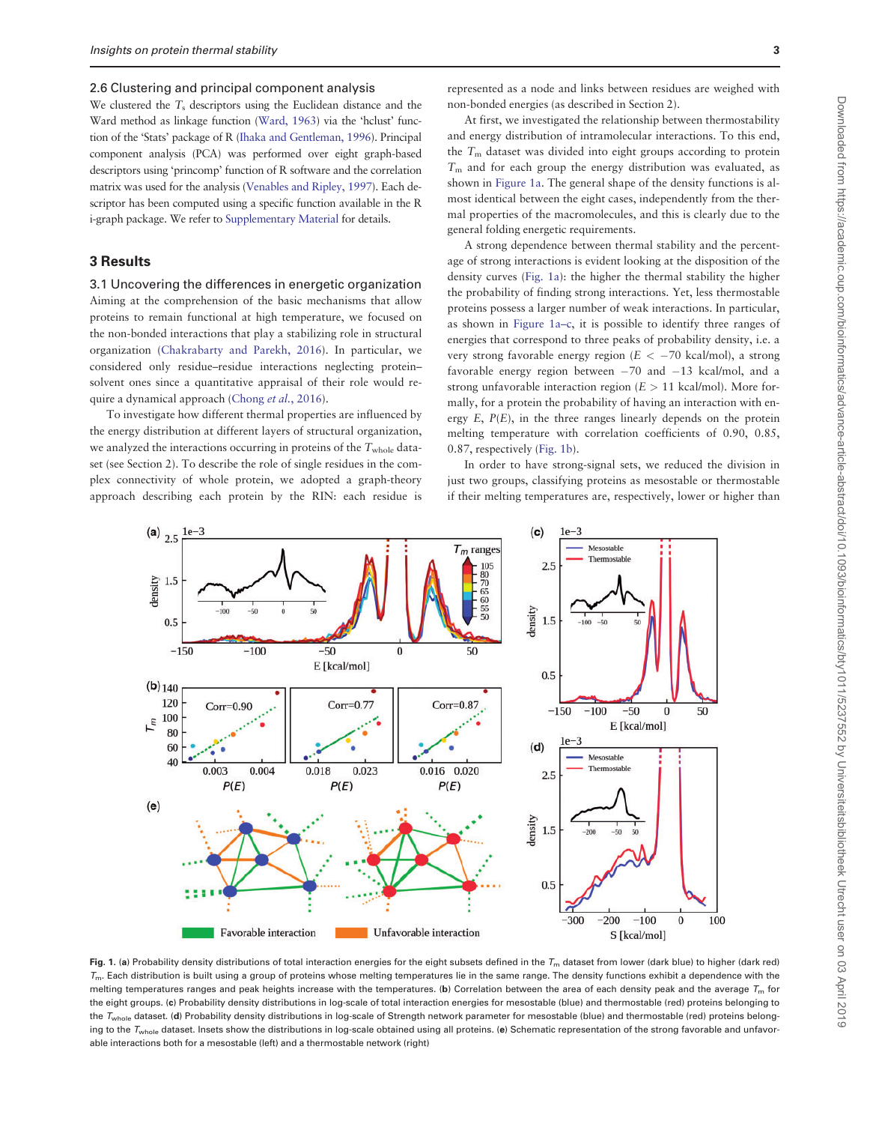#### <span id="page-2-0"></span>2.6 Clustering and principal component analysis

We clustered the  $T<sub>s</sub>$  descriptors using the Euclidean distance and the Ward method as linkage function [\(Ward, 1963\)](#page-8-0) via the 'hclust' function of the 'Stats' package of R ([Ihaka and Gentleman, 1996](#page-7-0)). Principal component analysis (PCA) was performed over eight graph-based descriptors using 'princomp' function of R software and the correlation matrix was used for the analysis [\(Venables and Ripley, 1997\)](#page-8-0). Each descriptor has been computed using a specific function available in the R i-graph package. We refer to [Supplementary Material](https://academic.oup.com/bioinformatics/article-lookup/doi/10.1093/bioinformatics/bty1011#supplementary-data) for details.

# 3 Results

# 3.1 Uncovering the differences in energetic organization Aiming at the comprehension of the basic mechanisms that allow proteins to remain functional at high temperature, we focused on the non-bonded interactions that play a stabilizing role in structural organization [\(Chakrabarty and Parekh, 2016\)](#page-7-0). In particular, we considered only residue–residue interactions neglecting protein– solvent ones since a quantitative appraisal of their role would require a dynamical approach [\(Chong](#page-7-0) et al., 2016).

To investigate how different thermal properties are influenced by the energy distribution at different layers of structural organization, we analyzed the interactions occurring in proteins of the  $T_{\text{whole}}$  dataset (see Section 2). To describe the role of single residues in the complex connectivity of whole protein, we adopted a graph-theory approach describing each protein by the RIN: each residue is

represented as a node and links between residues are weighed with non-bonded energies (as described in Section 2).

At first, we investigated the relationship between thermostability and energy distribution of intramolecular interactions. To this end, the  $T<sub>m</sub>$  dataset was divided into eight groups according to protein  $T<sub>m</sub>$  and for each group the energy distribution was evaluated, as shown in Figure 1a. The general shape of the density functions is almost identical between the eight cases, independently from the thermal properties of the macromolecules, and this is clearly due to the general folding energetic requirements.

A strong dependence between thermal stability and the percentage of strong interactions is evident looking at the disposition of the density curves (Fig. 1a): the higher the thermal stability the higher the probability of finding strong interactions. Yet, less thermostable proteins possess a larger number of weak interactions. In particular, as shown in Figure 1a–c, it is possible to identify three ranges of energies that correspond to three peaks of probability density, i.e. a very strong favorable energy region ( $E < -70$  kcal/mol), a strong favorable energy region between  $-70$  and  $-13$  kcal/mol, and a strong unfavorable interaction region ( $E > 11$  kcal/mol). More formally, for a protein the probability of having an interaction with energy  $E$ ,  $P(E)$ , in the three ranges linearly depends on the protein melting temperature with correlation coefficients of 0.90, 0.85, 0.87, respectively (Fig. 1b).

In order to have strong-signal sets, we reduced the division in just two groups, classifying proteins as mesostable or thermostable if their melting temperatures are, respectively, lower or higher than



Fig. 1. (a) Probability density distributions of total interaction energies for the eight subsets defined in the  $T_m$  dataset from lower (dark blue) to higher (dark red)  $\tau_m$ . Each distribution is built using a group of proteins whose melting temperatures lie in the same range. The density functions exhibit a dependence with the melting temperatures ranges and peak heights increase with the temperatures. (b) Correlation between the area of each density peak and the average  $T_m$  for the eight groups. (c) Probability density distributions in log-scale of total interaction energies for mesostable (blue) and thermostable (red) proteins belonging to the  $T_{\text{whole}}$  dataset. (d) Probability density distributions in log-scale of Strength network parameter for mesostable (blue) and thermostable (red) proteins belonging to the  $T_{\text{whole}}$  dataset. Insets show the distributions in log-scale obtained using all proteins. (e) Schematic representation of the strong favorable and unfavorable interactions both for a mesostable (left) and a thermostable network (right)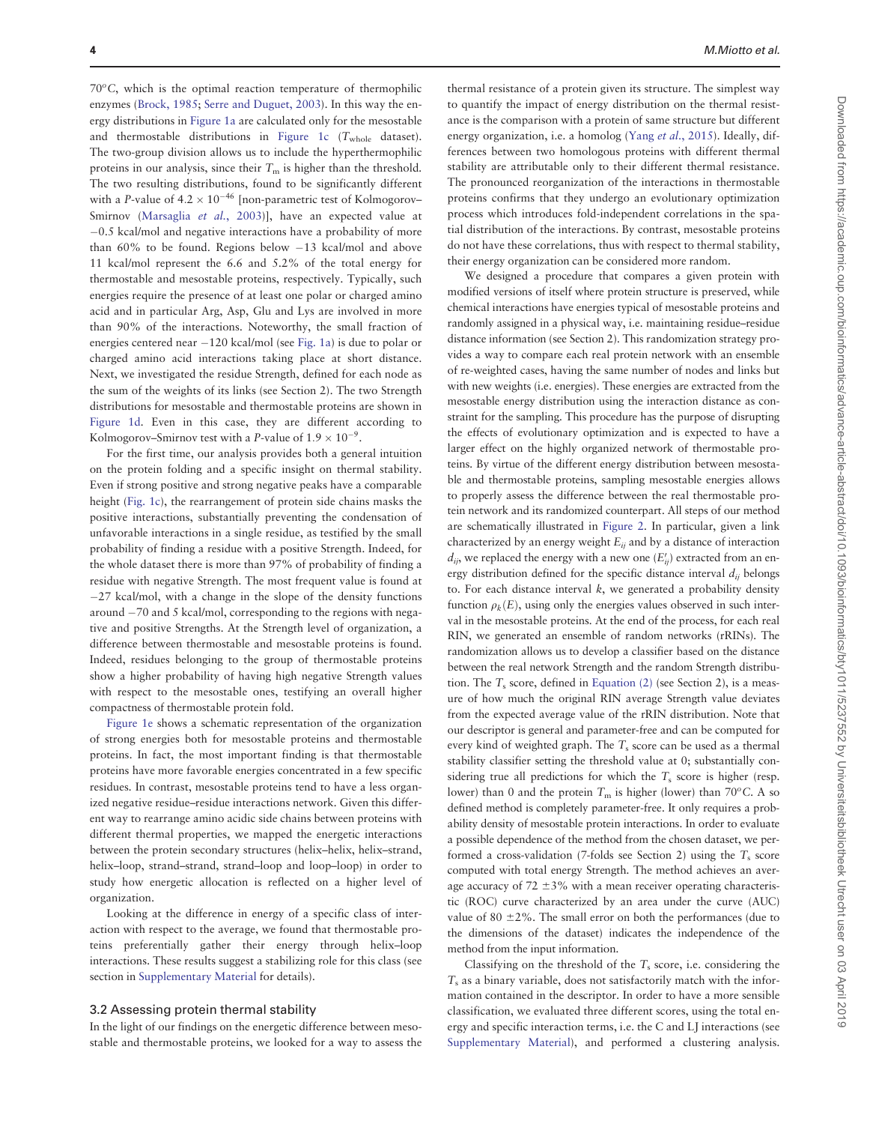$70^{\circ}$ C, which is the optimal reaction temperature of thermophilic enzymes ([Brock, 1985](#page-7-0); [Serre and Duguet, 2003\)](#page-7-0). In this way the energy distributions in [Figure 1a](#page-2-0) are calculated only for the mesostable and thermostable distributions in [Figure 1c](#page-2-0)  $(T_{whole}$  dataset). The two-group division allows us to include the hyperthermophilic proteins in our analysis, since their  $T_m$  is higher than the threshold. The two resulting distributions, found to be significantly different with a P-value of  $4.2 \times 10^{-46}$  [non-parametric test of Kolmogorov– Smirnov ([Marsaglia](#page-7-0) et al., 2003)], have an expected value at  $-0.5$  kcal/mol and negative interactions have a probability of more than  $60\%$  to be found. Regions below  $-13$  kcal/mol and above 11 kcal/mol represent the 6.6 and 5.2% of the total energy for thermostable and mesostable proteins, respectively. Typically, such energies require the presence of at least one polar or charged amino acid and in particular Arg, Asp, Glu and Lys are involved in more than 90% of the interactions. Noteworthy, the small fraction of energies centered near  $-120$  kcal/mol (see [Fig. 1a](#page-2-0)) is due to polar or charged amino acid interactions taking place at short distance. Next, we investigated the residue Strength, defined for each node as the sum of the weights of its links (see Section 2). The two Strength distributions for mesostable and thermostable proteins are shown in [Figure 1d.](#page-2-0) Even in this case, they are different according to Kolmogorov–Smirnov test with a P-value of  $1.9 \times 10^{-9}$ .

For the first time, our analysis provides both a general intuition on the protein folding and a specific insight on thermal stability. Even if strong positive and strong negative peaks have a comparable height ([Fig. 1c\)](#page-2-0), the rearrangement of protein side chains masks the positive interactions, substantially preventing the condensation of unfavorable interactions in a single residue, as testified by the small probability of finding a residue with a positive Strength. Indeed, for the whole dataset there is more than 97% of probability of finding a residue with negative Strength. The most frequent value is found at 27 kcal/mol, with a change in the slope of the density functions around  $-70$  and 5 kcal/mol, corresponding to the regions with negative and positive Strengths. At the Strength level of organization, a difference between thermostable and mesostable proteins is found. Indeed, residues belonging to the group of thermostable proteins show a higher probability of having high negative Strength values with respect to the mesostable ones, testifying an overall higher compactness of thermostable protein fold.

[Figure 1e](#page-2-0) shows a schematic representation of the organization of strong energies both for mesostable proteins and thermostable proteins. In fact, the most important finding is that thermostable proteins have more favorable energies concentrated in a few specific residues. In contrast, mesostable proteins tend to have a less organized negative residue–residue interactions network. Given this different way to rearrange amino acidic side chains between proteins with different thermal properties, we mapped the energetic interactions between the protein secondary structures (helix–helix, helix–strand, helix–loop, strand–strand, strand–loop and loop–loop) in order to study how energetic allocation is reflected on a higher level of organization.

Looking at the difference in energy of a specific class of interaction with respect to the average, we found that thermostable proteins preferentially gather their energy through helix–loop interactions. These results suggest a stabilizing role for this class (see section in [Supplementary Material](https://academic.oup.com/bioinformatics/article-lookup/doi/10.1093/bioinformatics/bty1011#supplementary-data) for details).

#### 3.2 Assessing protein thermal stability

In the light of our findings on the energetic difference between mesostable and thermostable proteins, we looked for a way to assess the

thermal resistance of a protein given its structure. The simplest way to quantify the impact of energy distribution on the thermal resistance is the comparison with a protein of same structure but different energy organization, i.e. a homolog (Yang et al.[, 2015](#page-8-0)). Ideally, differences between two homologous proteins with different thermal stability are attributable only to their different thermal resistance. The pronounced reorganization of the interactions in thermostable proteins confirms that they undergo an evolutionary optimization process which introduces fold-independent correlations in the spatial distribution of the interactions. By contrast, mesostable proteins do not have these correlations, thus with respect to thermal stability, their energy organization can be considered more random.

We designed a procedure that compares a given protein with modified versions of itself where protein structure is preserved, while chemical interactions have energies typical of mesostable proteins and randomly assigned in a physical way, i.e. maintaining residue–residue distance information (see Section 2). This randomization strategy provides a way to compare each real protein network with an ensemble of re-weighted cases, having the same number of nodes and links but with new weights (i.e. energies). These energies are extracted from the mesostable energy distribution using the interaction distance as constraint for the sampling. This procedure has the purpose of disrupting the effects of evolutionary optimization and is expected to have a larger effect on the highly organized network of thermostable proteins. By virtue of the different energy distribution between mesostable and thermostable proteins, sampling mesostable energies allows to properly assess the difference between the real thermostable protein network and its randomized counterpart. All steps of our method are schematically illustrated in [Figure 2](#page-4-0). In particular, given a link characterized by an energy weight  $E_{ij}$  and by a distance of interaction  $d_{ij}$ , we replaced the energy with a new one  $(E'_{ij})$  extracted from an energy distribution defined for the specific distance interval  $d_{ii}$  belongs to. For each distance interval  $k$ , we generated a probability density function  $\rho_k(E)$ , using only the energies values observed in such interval in the mesostable proteins. At the end of the process, for each real RIN, we generated an ensemble of random networks (rRINs). The randomization allows us to develop a classifier based on the distance between the real network Strength and the random Strength distribution. The  $T_s$  score, defined in [Equation \(2\)](#page-1-0) (see Section 2), is a measure of how much the original RIN average Strength value deviates from the expected average value of the rRIN distribution. Note that our descriptor is general and parameter-free and can be computed for every kind of weighted graph. The  $T_s$  score can be used as a thermal stability classifier setting the threshold value at 0; substantially considering true all predictions for which the  $T_s$  score is higher (resp. lower) than 0 and the protein  $T_m$  is higher (lower) than 70°C. A so defined method is completely parameter-free. It only requires a probability density of mesostable protein interactions. In order to evaluate a possible dependence of the method from the chosen dataset, we performed a cross-validation (7-folds see Section 2) using the  $T_s$  score computed with total energy Strength. The method achieves an average accuracy of  $72 \pm 3\%$  with a mean receiver operating characteristic (ROC) curve characterized by an area under the curve (AUC) value of 80  $\pm$ 2%. The small error on both the performances (due to the dimensions of the dataset) indicates the independence of the method from the input information.

Classifying on the threshold of the  $T_s$  score, i.e. considering the  $T<sub>s</sub>$  as a binary variable, does not satisfactorily match with the information contained in the descriptor. In order to have a more sensible classification, we evaluated three different scores, using the total energy and specific interaction terms, i.e. the C and LJ interactions (see [Supplementary Material\)](https://academic.oup.com/bioinformatics/article-lookup/doi/10.1093/bioinformatics/bty1011#supplementary-data), and performed a clustering analysis.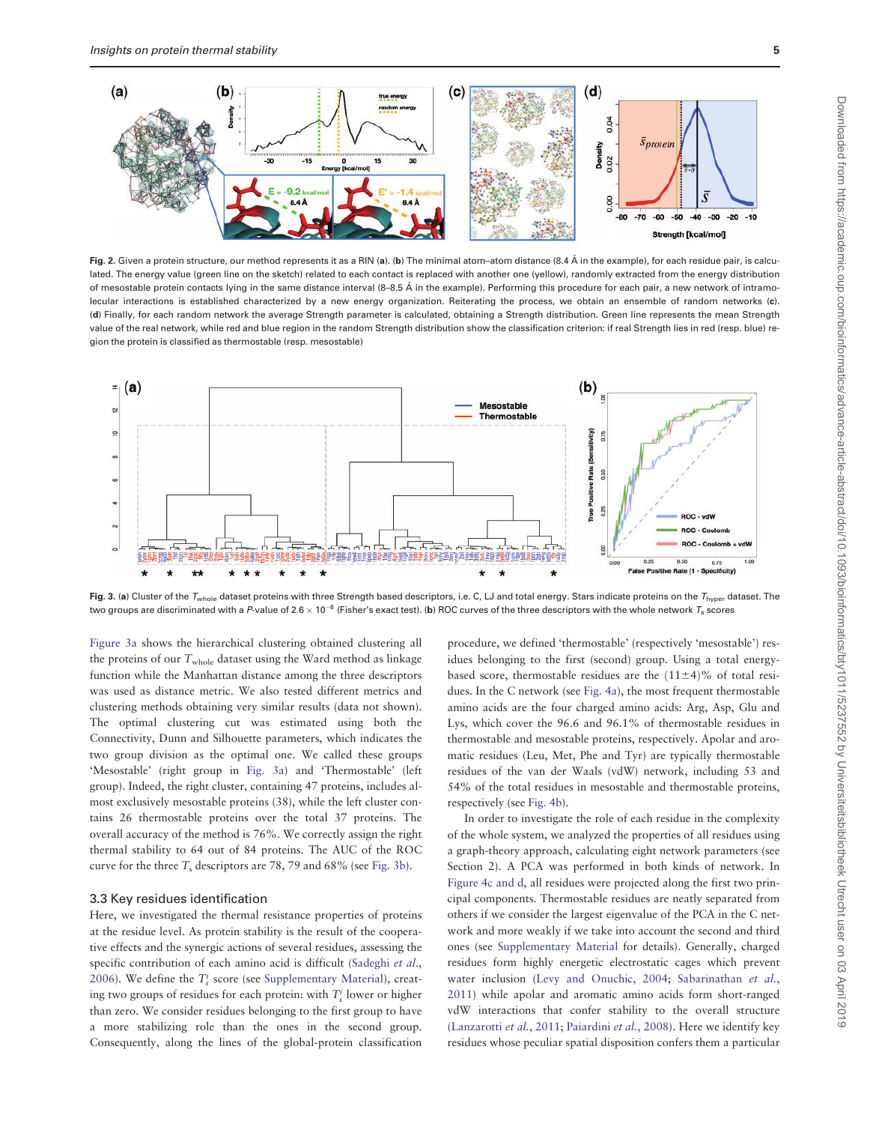<span id="page-4-0"></span>

Fig. 2. Given a protein structure, our method represents it as a RIN (a). (b) The minimal atom–atom distance (8.4 Å in the example), for each residue pair, is calculated. The energy value (green line on the sketch) related to each contact is replaced with another one (yellow), randomly extracted from the energy distribution of mesostable protein contacts lying in the same distance interval (8–8.5 Å in the example). Performing this procedure for each pair, a new network of intramolecular interactions is established characterized by a new energy organization. Reiterating the process, we obtain an ensemble of random networks (c). (d) Finally, for each random network the average Strength parameter is calculated, obtaining a Strength distribution. Green line represents the mean Strength value of the real network, while red and blue region in the random Strength distribution show the classification criterion: if real Strength lies in red (resp. blue) region the protein is classified as thermostable (resp. mesostable)



Fig. 3. (a) Cluster of the  $T_{\text{whole}}$  dataset proteins with three Strength based descriptors, i.e. C, LJ and total energy. Stars indicate proteins on the  $T_{\text{hyper}}$  dataset. The two groups are discriminated with a P-value of 2.6  $\times$  10<sup>-6</sup> (Fisher's exact test). (b) ROC curves of the three descriptors with the whole network  $T_s$  scores

Figure 3a shows the hierarchical clustering obtained clustering all the proteins of our  $T_{whole}$  dataset using the Ward method as linkage function while the Manhattan distance among the three descriptors was used as distance metric. We also tested different metrics and clustering methods obtaining very similar results (data not shown). The optimal clustering cut was estimated using both the Connectivity, Dunn and Silhouette parameters, which indicates the two group division as the optimal one. We called these groups 'Mesostable' (right group in Fig. 3a) and 'Thermostable' (left group). Indeed, the right cluster, containing 47 proteins, includes almost exclusively mesostable proteins (38), while the left cluster contains 26 thermostable proteins over the total 37 proteins. The overall accuracy of the method is 76%. We correctly assign the right thermal stability to 64 out of 84 proteins. The AUC of the ROC curve for the three  $T_s$  descriptors are 78, 79 and 68% (see Fig. 3b).

# 3.3 Key residues identification

Here, we investigated the thermal resistance properties of proteins at the residue level. As protein stability is the result of the cooperative effects and the synergic actions of several residues, assessing the specific contribution of each amino acid is difficult ([Sadeghi](#page-7-0) et al., [2006\)](#page-7-0). We define the  $T_s^i$  score (see [Supplementary Material\)](https://academic.oup.com/bioinformatics/article-lookup/doi/10.1093/bioinformatics/bty1011#supplementary-data), creating two groups of residues for each protein: with  $T_s^i$  lower or higher than zero. We consider residues belonging to the first group to have a more stabilizing role than the ones in the second group. Consequently, along the lines of the global-protein classification

procedure, we defined 'thermostable' (respectively 'mesostable') residues belonging to the first (second) group. Using a total energybased score, thermostable residues are the  $(11\pm4)\%$  of total residues. In the C network (see [Fig. 4a\)](#page-5-0), the most frequent thermostable amino acids are the four charged amino acids: Arg, Asp, Glu and Lys, which cover the 96.6 and 96.1% of thermostable residues in thermostable and mesostable proteins, respectively. Apolar and aromatic residues (Leu, Met, Phe and Tyr) are typically thermostable residues of the van der Waals (vdW) network, including 53 and 54% of the total residues in mesostable and thermostable proteins, respectively (see [Fig. 4b\)](#page-5-0).

In order to investigate the role of each residue in the complexity of the whole system, we analyzed the properties of all residues using a graph-theory approach, calculating eight network parameters (see Section 2). A PCA was performed in both kinds of network. In [Figure 4c and d,](#page-5-0) all residues were projected along the first two principal components. Thermostable residues are neatly separated from others if we consider the largest eigenvalue of the PCA in the C network and more weakly if we take into account the second and third ones (see [Supplementary Material](https://academic.oup.com/bioinformatics/article-lookup/doi/10.1093/bioinformatics/bty1011#supplementary-data) for details). Generally, charged residues form highly energetic electrostatic cages which prevent water inclusion ([Levy and Onuchic, 2004](#page-7-0); [Sabarinathan](#page-7-0) et al., [2011\)](#page-7-0) while apolar and aromatic amino acids form short-ranged vdW interactions that confer stability to the overall structure ([Lanzarotti](#page-7-0) et al., 2011; [Paiardini](#page-7-0) et al., 2008). Here we identify key residues whose peculiar spatial disposition confers them a particular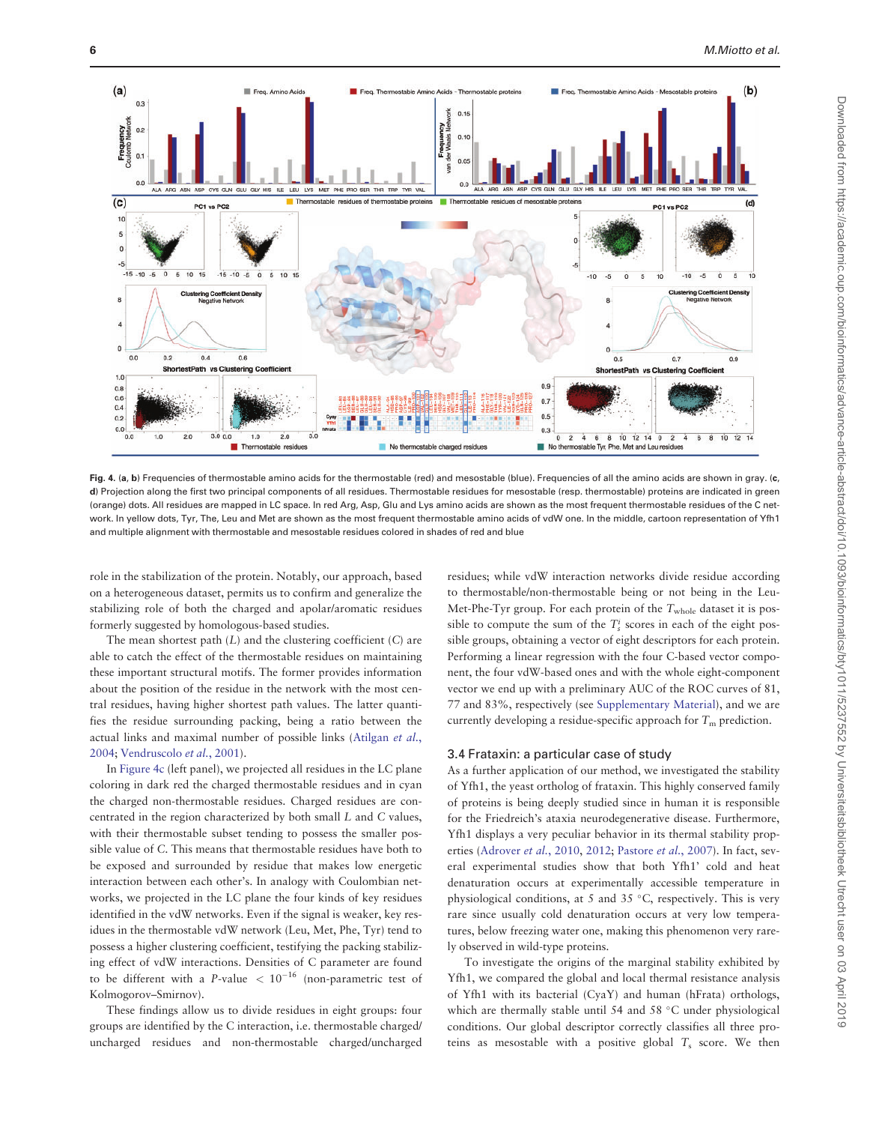<span id="page-5-0"></span>

Fig. 4. (a, b) Frequencies of thermostable amino acids for the thermostable (red) and mesostable (blue). Frequencies of all the amino acids are shown in gray. (c, d) Projection along the first two principal components of all residues. Thermostable residues for mesostable (resp. thermostable) proteins are indicated in green (orange) dots. All residues are mapped in LC space. In red Arg, Asp, Glu and Lys amino acids are shown as the most frequent thermostable residues of the C network. In yellow dots, Tyr, The, Leu and Met are shown as the most frequent thermostable amino acids of vdW one. In the middle, cartoon representation of Yfh1 and multiple alignment with thermostable and mesostable residues colored in shades of red and blue

role in the stabilization of the protein. Notably, our approach, based on a heterogeneous dataset, permits us to confirm and generalize the stabilizing role of both the charged and apolar/aromatic residues formerly suggested by homologous-based studies.

The mean shortest path  $(L)$  and the clustering coefficient  $(C)$  are able to catch the effect of the thermostable residues on maintaining these important structural motifs. The former provides information about the position of the residue in the network with the most central residues, having higher shortest path values. The latter quantifies the residue surrounding packing, being a ratio between the actual links and maximal number of possible links ([Atilgan](#page-7-0) et al., [2004;](#page-7-0) [Vendruscolo](#page-8-0) et al., 2001).

In Figure 4c (left panel), we projected all residues in the LC plane coloring in dark red the charged thermostable residues and in cyan the charged non-thermostable residues. Charged residues are concentrated in the region characterized by both small L and C values, with their thermostable subset tending to possess the smaller possible value of C. This means that thermostable residues have both to be exposed and surrounded by residue that makes low energetic interaction between each other's. In analogy with Coulombian networks, we projected in the LC plane the four kinds of key residues identified in the vdW networks. Even if the signal is weaker, key residues in the thermostable vdW network (Leu, Met, Phe, Tyr) tend to possess a higher clustering coefficient, testifying the packing stabilizing effect of vdW interactions. Densities of C parameter are found to be different with a P-value  $< 10^{-16}$  (non-parametric test of Kolmogorov–Smirnov).

These findings allow us to divide residues in eight groups: four groups are identified by the C interaction, i.e. thermostable charged/ uncharged residues and non-thermostable charged/uncharged

residues; while vdW interaction networks divide residue according to thermostable/non-thermostable being or not being in the Leu-Met-Phe-Tyr group. For each protein of the  $T_{\text{whole}}$  dataset it is possible to compute the sum of the  $T_s^i$  scores in each of the eight possible groups, obtaining a vector of eight descriptors for each protein. Performing a linear regression with the four C-based vector component, the four vdW-based ones and with the whole eight-component vector we end up with a preliminary AUC of the ROC curves of 81, 77 and 83%, respectively (see [Supplementary Material\)](https://academic.oup.com/bioinformatics/article-lookup/doi/10.1093/bioinformatics/bty1011#supplementary-data), and we are currently developing a residue-specific approach for  $T<sub>m</sub>$  prediction.

#### 3.4 Frataxin: a particular case of study

As a further application of our method, we investigated the stability of Yfh1, the yeast ortholog of frataxin. This highly conserved family of proteins is being deeply studied since in human it is responsible for the Friedreich's ataxia neurodegenerative disease. Furthermore, Yfh1 displays a very peculiar behavior in its thermal stability properties [\(Adrover](#page-7-0) et al., 2010, [2012](#page-7-0); [Pastore](#page-7-0) et al., 2007). In fact, several experimental studies show that both Yfh1' cold and heat denaturation occurs at experimentally accessible temperature in physiological conditions, at 5 and 35  $\degree$ C, respectively. This is very rare since usually cold denaturation occurs at very low temperatures, below freezing water one, making this phenomenon very rarely observed in wild-type proteins.

To investigate the origins of the marginal stability exhibited by Yfh1, we compared the global and local thermal resistance analysis of Yfh1 with its bacterial (CyaY) and human (hFrata) orthologs, which are thermally stable until 54 and 58  $\degree$ C under physiological conditions. Our global descriptor correctly classifies all three proteins as mesostable with a positive global  $T_s$  score. We then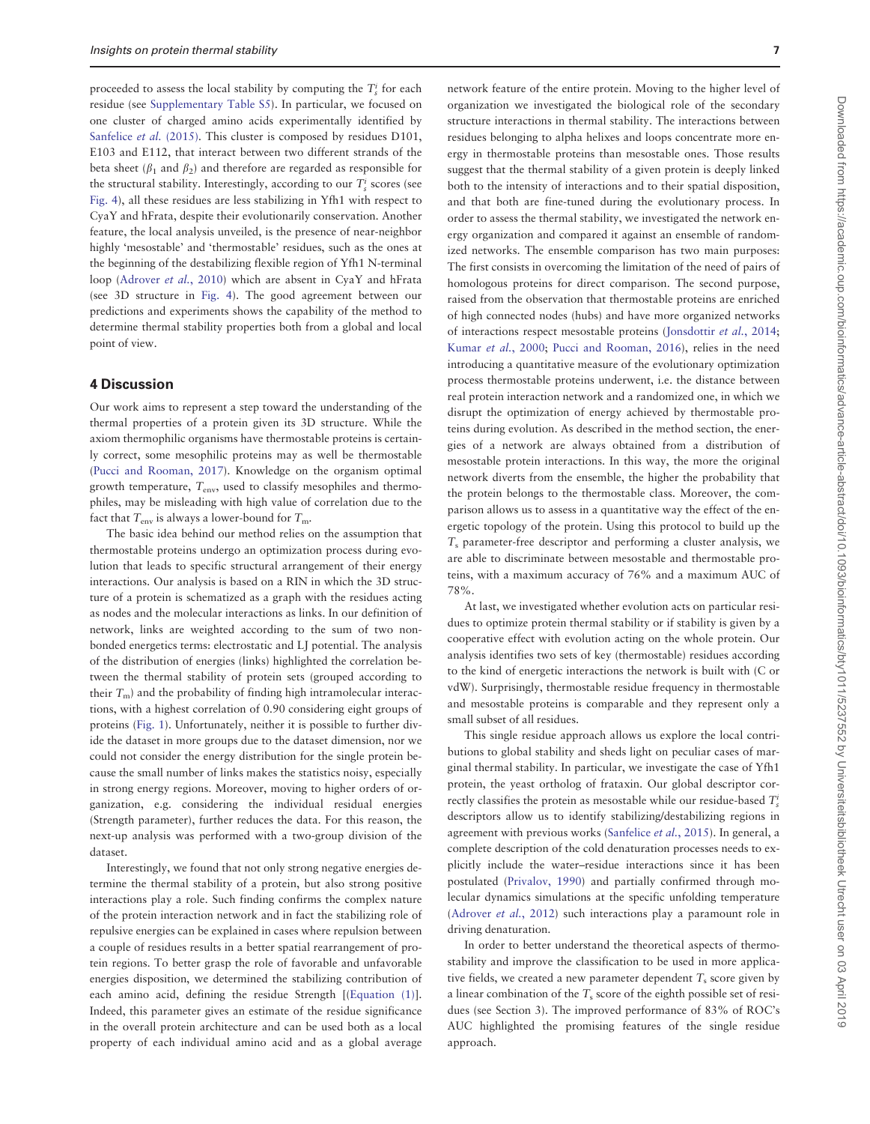proceeded to assess the local stability by computing the  $T_s^i$  for each residue (see [Supplementary Table S5\)](https://academic.oup.com/bioinformatics/article-lookup/doi/10.1093/bioinformatics/bty1011#supplementary-data). In particular, we focused on one cluster of charged amino acids experimentally identified by [Sanfelice](#page-7-0) et al. (2015). This cluster is composed by residues D101, E103 and E112, that interact between two different strands of the beta sheet ( $\beta_1$  and  $\beta_2$ ) and therefore are regarded as responsible for the structural stability. Interestingly, according to our  $T_s^i$  scores (see [Fig. 4\)](#page-5-0), all these residues are less stabilizing in Yfh1 with respect to CyaY and hFrata, despite their evolutionarily conservation. Another feature, the local analysis unveiled, is the presence of near-neighbor highly 'mesostable' and 'thermostable' residues, such as the ones at the beginning of the destabilizing flexible region of Yfh1 N-terminal loop [\(Adrover](#page-7-0) et al., 2010) which are absent in CyaY and hFrata (see 3D structure in [Fig. 4\)](#page-5-0). The good agreement between our predictions and experiments shows the capability of the method to determine thermal stability properties both from a global and local point of view.

# 4 Discussion

Our work aims to represent a step toward the understanding of the thermal properties of a protein given its 3D structure. While the axiom thermophilic organisms have thermostable proteins is certainly correct, some mesophilic proteins may as well be thermostable ([Pucci and Rooman, 2017](#page-7-0)). Knowledge on the organism optimal growth temperature,  $T_{env}$ , used to classify mesophiles and thermophiles, may be misleading with high value of correlation due to the fact that  $T_{env}$  is always a lower-bound for  $T_{\text{m}}$ .

The basic idea behind our method relies on the assumption that thermostable proteins undergo an optimization process during evolution that leads to specific structural arrangement of their energy interactions. Our analysis is based on a RIN in which the 3D structure of a protein is schematized as a graph with the residues acting as nodes and the molecular interactions as links. In our definition of network, links are weighted according to the sum of two nonbonded energetics terms: electrostatic and LJ potential. The analysis of the distribution of energies (links) highlighted the correlation between the thermal stability of protein sets (grouped according to their  $T_m$ ) and the probability of finding high intramolecular interactions, with a highest correlation of 0.90 considering eight groups of proteins [\(Fig. 1\)](#page-2-0). Unfortunately, neither it is possible to further divide the dataset in more groups due to the dataset dimension, nor we could not consider the energy distribution for the single protein because the small number of links makes the statistics noisy, especially in strong energy regions. Moreover, moving to higher orders of organization, e.g. considering the individual residual energies (Strength parameter), further reduces the data. For this reason, the next-up analysis was performed with a two-group division of the dataset.

Interestingly, we found that not only strong negative energies determine the thermal stability of a protein, but also strong positive interactions play a role. Such finding confirms the complex nature of the protein interaction network and in fact the stabilizing role of repulsive energies can be explained in cases where repulsion between a couple of residues results in a better spatial rearrangement of protein regions. To better grasp the role of favorable and unfavorable energies disposition, we determined the stabilizing contribution of each amino acid, defining the residue Strength [[\(Equation \(1\)](#page-1-0)]. Indeed, this parameter gives an estimate of the residue significance in the overall protein architecture and can be used both as a local property of each individual amino acid and as a global average

network feature of the entire protein. Moving to the higher level of organization we investigated the biological role of the secondary structure interactions in thermal stability. The interactions between residues belonging to alpha helixes and loops concentrate more energy in thermostable proteins than mesostable ones. Those results suggest that the thermal stability of a given protein is deeply linked both to the intensity of interactions and to their spatial disposition, and that both are fine-tuned during the evolutionary process. In order to assess the thermal stability, we investigated the network energy organization and compared it against an ensemble of randomized networks. The ensemble comparison has two main purposes: The first consists in overcoming the limitation of the need of pairs of homologous proteins for direct comparison. The second purpose, raised from the observation that thermostable proteins are enriched of high connected nodes (hubs) and have more organized networks of interactions respect mesostable proteins [\(Jonsdottir](#page-7-0) et al., 2014; [Kumar](#page-7-0) et al., 2000; [Pucci and Rooman, 2016\)](#page-7-0), relies in the need introducing a quantitative measure of the evolutionary optimization process thermostable proteins underwent, i.e. the distance between real protein interaction network and a randomized one, in which we disrupt the optimization of energy achieved by thermostable proteins during evolution. As described in the method section, the energies of a network are always obtained from a distribution of mesostable protein interactions. In this way, the more the original network diverts from the ensemble, the higher the probability that the protein belongs to the thermostable class. Moreover, the comparison allows us to assess in a quantitative way the effect of the energetic topology of the protein. Using this protocol to build up the  $T_s$  parameter-free descriptor and performing a cluster analysis, we are able to discriminate between mesostable and thermostable proteins, with a maximum accuracy of 76% and a maximum AUC of 78%.

At last, we investigated whether evolution acts on particular residues to optimize protein thermal stability or if stability is given by a cooperative effect with evolution acting on the whole protein. Our analysis identifies two sets of key (thermostable) residues according to the kind of energetic interactions the network is built with (C or vdW). Surprisingly, thermostable residue frequency in thermostable and mesostable proteins is comparable and they represent only a small subset of all residues.

This single residue approach allows us explore the local contributions to global stability and sheds light on peculiar cases of marginal thermal stability. In particular, we investigate the case of Yfh1 protein, the yeast ortholog of frataxin. Our global descriptor correctly classifies the protein as mesostable while our residue-based  $T_s$ descriptors allow us to identify stabilizing/destabilizing regions in agreement with previous works [\(Sanfelice](#page-7-0) et al., 2015). In general, a complete description of the cold denaturation processes needs to explicitly include the water–residue interactions since it has been postulated [\(Privalov, 1990](#page-7-0)) and partially confirmed through molecular dynamics simulations at the specific unfolding temperature ([Adrover](#page-7-0) et al., 2012) such interactions play a paramount role in driving denaturation.

In order to better understand the theoretical aspects of thermostability and improve the classification to be used in more applicative fields, we created a new parameter dependent  $T_s$  score given by a linear combination of the  $T_s$  score of the eighth possible set of residues (see Section 3). The improved performance of 83% of ROC's AUC highlighted the promising features of the single residue approach.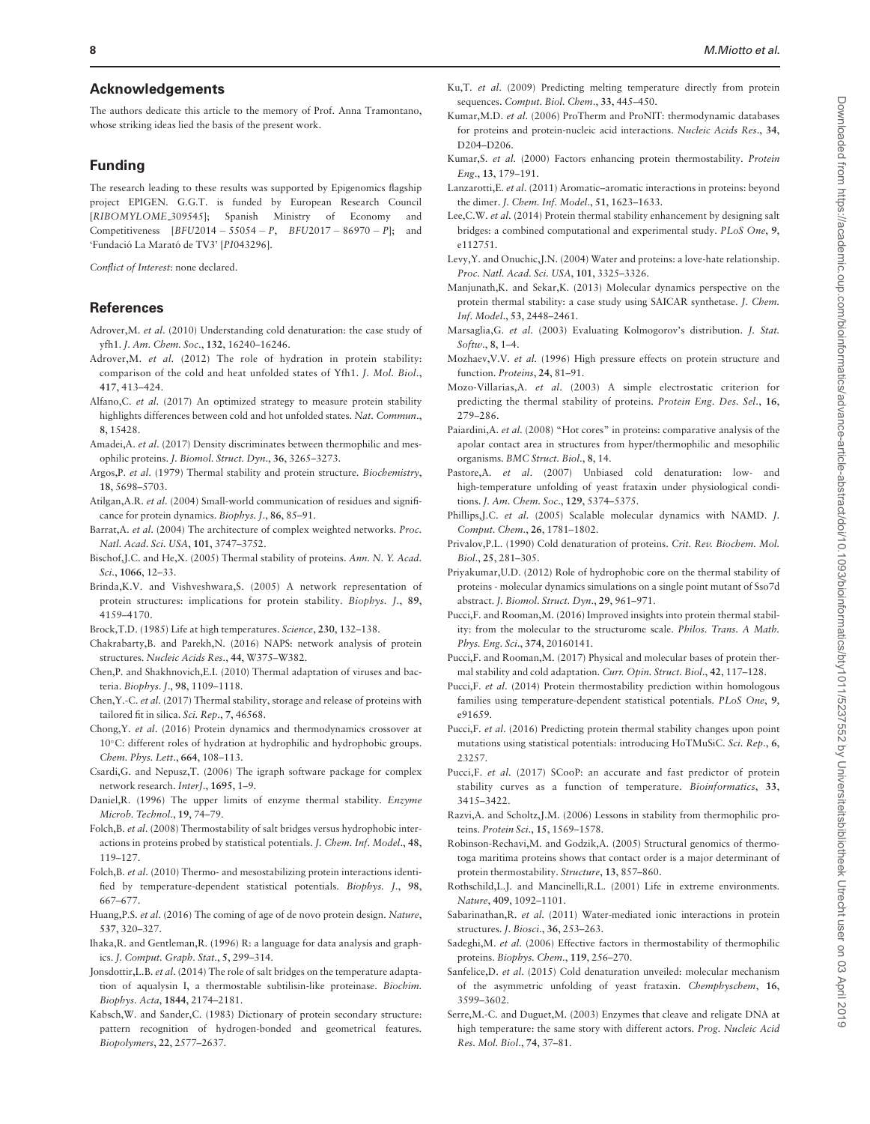#### <span id="page-7-0"></span>Acknowledgements

The authors dedicate this article to the memory of Prof. Anna Tramontano, whose striking ideas lied the basis of the present work.

# Funding

The research leading to these results was supported by Epigenomics flagship project EPIGEN. G.G.T. is funded by European Research Council [RIBOMYLOME 309545]; Spanish Ministry of Economy and Competitiveness  $[BFU2014 - 55054 - P, BFU2017 - 86970 - P];$  and 'Fundació La Marató de TV3' [PI043296].

Conflict of Interest: none declared.

# **References**

- Adrover,M. et al. (2010) Understanding cold denaturation: the case study of yfh1. J. Am. Chem. Soc., 132, 16240–16246.
- Adrover,M. et al. (2012) The role of hydration in protein stability: comparison of the cold and heat unfolded states of Yfh1. J. Mol. Biol., 417, 413–424.
- Alfano,C. et al. (2017) An optimized strategy to measure protein stability highlights differences between cold and hot unfolded states. Nat. Commun., 8, 15428.
- Amadei, A. et al. (2017) Density discriminates between thermophilic and mesophilic proteins. J. Biomol. Struct. Dyn., 36, 3265–3273.
- Argos,P. et al. (1979) Thermal stability and protein structure. Biochemistry, 18, 5698–5703.
- Atilgan,A.R. et al. (2004) Small-world communication of residues and significance for protein dynamics. Biophys. J., 86, 85–91.
- Barrat,A. et al. (2004) The architecture of complex weighted networks. Proc. Natl. Acad. Sci. USA, 101, 3747–3752.
- Bischof,J.C. and He,X. (2005) Thermal stability of proteins. Ann. N. Y. Acad. Sci., 1066, 12-33.
- Brinda,K.V. and Vishveshwara,S. (2005) A network representation of protein structures: implications for protein stability. Biophys. J., 89, 4159–4170.
- Brock,T.D. (1985) Life at high temperatures. Science, 230, 132-138.
- Chakrabarty,B. and Parekh,N. (2016) NAPS: network analysis of protein structures. Nucleic Acids Res., 44, W375–W382.
- Chen,P. and Shakhnovich,E.I. (2010) Thermal adaptation of viruses and bacteria. Biophys. J., 98, 1109–1118.
- Chen,Y.-C. et al. (2017) Thermal stability, storage and release of proteins with tailored fit in silica. Sci. Rep., 7, 46568.
- Chong,Y. et al. (2016) Protein dynamics and thermodynamics crossover at 10°C: different roles of hydration at hydrophilic and hydrophobic groups. Chem. Phys. Lett., 664, 108–113.
- Csardi,G. and Nepusz,T. (2006) The igraph software package for complex network research. InterJ., 1695, 1–9.
- Daniel,R. (1996) The upper limits of enzyme thermal stability. Enzyme Microb. Technol., 19, 74–79.
- Folch,B. et al. (2008) Thermostability of salt bridges versus hydrophobic interactions in proteins probed by statistical potentials. J. Chem. Inf. Model., 48, 119–127.
- Folch,B. et al. (2010) Thermo- and mesostabilizing protein interactions identified by temperature-dependent statistical potentials. Biophys. J., 98, 667–677.
- Huang,P.S. et al. (2016) The coming of age of de novo protein design. Nature, 537, 320–327.
- Ihaka,R. and Gentleman,R. (1996) R: a language for data analysis and graphics. J. Comput. Graph. Stat., 5, 299–314.
- Jonsdottir,L.B. et al. (2014) The role of salt bridges on the temperature adaptation of aqualysin I, a thermostable subtilisin-like proteinase. Biochim. Biophys. Acta, 1844, 2174–2181.
- Kabsch,W. and Sander,C. (1983) Dictionary of protein secondary structure: pattern recognition of hydrogen-bonded and geometrical features. Biopolymers, 22, 2577–2637.
- Ku,T. et al. (2009) Predicting melting temperature directly from protein sequences. Comput. Biol. Chem., 33, 445-450.
- Kumar,M.D. et al. (2006) ProTherm and ProNIT: thermodynamic databases for proteins and protein-nucleic acid interactions. Nucleic Acids Res., 34, D204–D206.
- Kumar,S. et al. (2000) Factors enhancing protein thermostability. Protein Eng., 13, 179–191.
- Lanzarotti,E. et al. (2011) Aromatic–aromatic interactions in proteins: beyond the dimer. J. Chem. Inf. Model., 51, 1623–1633.
- Lee,C.W. et al. (2014) Protein thermal stability enhancement by designing salt bridges: a combined computational and experimental study. PLoS One, 9, e112751.
- Levy,Y. and Onuchic,J.N. (2004) Water and proteins: a love-hate relationship. Proc. Natl. Acad. Sci. USA, 101, 3325–3326.
- Manjunath,K. and Sekar,K. (2013) Molecular dynamics perspective on the protein thermal stability: a case study using SAICAR synthetase. J. Chem. Inf. Model., 53, 2448–2461.
- Marsaglia,G. et al. (2003) Evaluating Kolmogorov's distribution. J. Stat. Softw., 8, 1–4.
- Mozhaev,V.V. et al. (1996) High pressure effects on protein structure and function. Proteins, 24, 81–91.
- Mozo-Villarías,A. et al. (2003) A simple electrostatic criterion for predicting the thermal stability of proteins. Protein Eng. Des. Sel., 16, 279–286.
- Paiardini, A. et al. (2008) "Hot cores" in proteins: comparative analysis of the apolar contact area in structures from hyper/thermophilic and mesophilic organisms. BMC Struct. Biol., 8, 14.
- Pastore,A. et al. (2007) Unbiased cold denaturation: low- and high-temperature unfolding of yeast frataxin under physiological conditions. J. Am. Chem. Soc., 129, 5374–5375.
- Phillips,J.C. et al. (2005) Scalable molecular dynamics with NAMD. J. Comput. Chem., 26, 1781–1802.
- Privalov,P.L. (1990) Cold denaturation of proteins. Crit. Rev. Biochem. Mol. Biol., 25, 281–305.
- Priyakumar,U.D. (2012) Role of hydrophobic core on the thermal stability of proteins - molecular dynamics simulations on a single point mutant of Sso7d abstract. J. Biomol. Struct. Dyn., 29, 961–971.
- Pucci,F. and Rooman,M. (2016) Improved insights into protein thermal stability: from the molecular to the structurome scale. Philos. Trans. A Math. Phys. Eng. Sci., 374, 20160141.
- Pucci,F. and Rooman,M. (2017) Physical and molecular bases of protein thermal stability and cold adaptation. Curr. Opin. Struct. Biol., 42, 117–128.
- Pucci,F. et al. (2014) Protein thermostability prediction within homologous families using temperature-dependent statistical potentials. PLoS One, 9, e91659.
- Pucci,F. et al. (2016) Predicting protein thermal stability changes upon point mutations using statistical potentials: introducing HoTMuSiC. Sci. Rep., 6, 23257.
- Pucci,F. et al. (2017) SCooP: an accurate and fast predictor of protein stability curves as a function of temperature. Bioinformatics, 33, 3415–3422.
- Razvi,A. and Scholtz,J.M. (2006) Lessons in stability from thermophilic proteins. Protein Sci., 15, 1569–1578.
- Robinson-Rechavi,M. and Godzik,A. (2005) Structural genomics of thermotoga maritima proteins shows that contact order is a major determinant of protein thermostability. Structure, 13, 857–860.
- Rothschild,L.J. and Mancinelli,R.L. (2001) Life in extreme environments. Nature, 409, 1092–1101.
- Sabarinathan,R. et al. (2011) Water-mediated ionic interactions in protein structures. J. Biosci., 36, 253–263.
- Sadeghi,M. et al. (2006) Effective factors in thermostability of thermophilic proteins. Biophys. Chem., 119, 256–270.
- Sanfelice,D. et al. (2015) Cold denaturation unveiled: molecular mechanism of the asymmetric unfolding of yeast frataxin. Chemphyschem, 16, 3599–3602.
- Serre,M.-C. and Duguet,M. (2003) Enzymes that cleave and religate DNA at high temperature: the same story with different actors. Prog. Nucleic Acid Res. Mol. Biol., 74, 37–81.

Downloaded from https://academic.oup.com/bioinformatics/advance-article-abstract/doi/10.1093/bioinformatics/bty1011/6237552 by Universiteitsbibliotheek Utrecht user on 03 April 2019 Downloaded from https://academic.oup.com/bioinformatics/advance-article-abstract/doi/10.1093/bioinformatics/bty1011/5237552 by Universiteitsbibliotheek Utrecht user on 03 April 2019